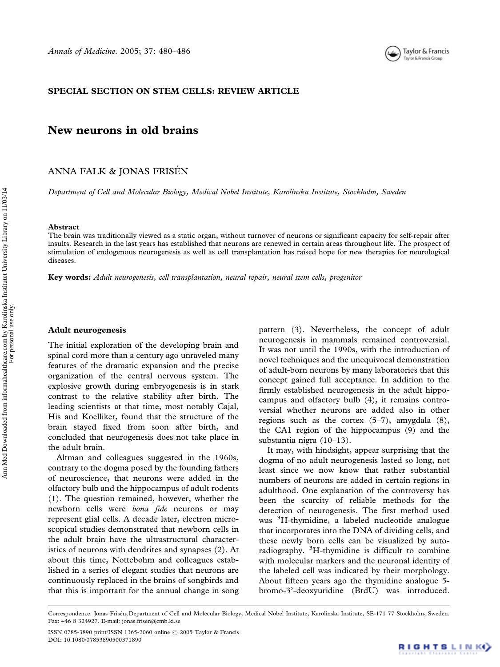

### SPECIAL SECTION ON STEM CELLS: REVIEW ARTICLE

# New neurons in old brains

ANNA FALK & JONAS FRISEN

Department of Cell and Molecular Biology, Medical Nobel Institute, Karolinska Institute, Stockholm, Sweden

#### Abstract

The brain was traditionally viewed as a static organ, without turnover of neurons or significant capacity for self-repair after insults. Research in the last years has established that neurons are renewed in certain areas throughout life. The prospect of stimulation of endogenous neurogenesis as well as cell transplantation has raised hope for new therapies for neurological diseases.

Key words: Adult neurogenesis, cell transplantation, neural repair, neural stem cells, progenitor

#### Adult neurogenesis

The initial exploration of the developing brain and spinal cord more than a century ago unraveled many features of the dramatic expansion and the precise organization of the central nervous system. The explosive growth during embryogenesis is in stark contrast to the relative stability after birth. The leading scientists at that time, most notably Cajal, His and Koelliker, found that the structure of the brain stayed fixed from soon after birth, and concluded that neurogenesis does not take place in the adult brain.

Altman and colleagues suggested in the 1960s, contrary to the dogma posed by the founding fathers of neuroscience, that neurons were added in the olfactory bulb and the hippocampus of adult rodents (1). The question remained, however, whether the newborn cells were bona fide neurons or may represent glial cells. A decade later, electron microscopical studies demonstrated that newborn cells in the adult brain have the ultrastructural characteristics of neurons with dendrites and synapses (2). At about this time, Nottebohm and colleagues established in a series of elegant studies that neurons are continuously replaced in the brains of songbirds and that this is important for the annual change in song pattern (3). Nevertheless, the concept of adult neurogenesis in mammals remained controversial. It was not until the 1990s, with the introduction of novel techniques and the unequivocal demonstration of adult-born neurons by many laboratories that this concept gained full acceptance. In addition to the firmly established neurogenesis in the adult hippocampus and olfactory bulb (4), it remains controversial whether neurons are added also in other regions such as the cortex  $(5-7)$ , amygdala  $(8)$ , the CA1 region of the hippocampus (9) and the substantia nigra (10–13).

It may, with hindsight, appear surprising that the dogma of no adult neurogenesis lasted so long, not least since we now know that rather substantial numbers of neurons are added in certain regions in adulthood. One explanation of the controversy has been the scarcity of reliable methods for the detection of neurogenesis. The first method used was <sup>3</sup> H-thymidine, a labeled nucleotide analogue that incorporates into the DNA of dividing cells, and these newly born cells can be visualized by autoradiography. <sup>3</sup>H-thymidine is difficult to combine with molecular markers and the neuronal identity of the labeled cell was indicated by their morphology. About fifteen years ago the thymidine analogue 5 bromo-3'-deoxyuridine (BrdU) was introduced.

Correspondence: Jonas Frisén, Department of Cell and Molecular Biology, Medical Nobel Institute, Karolinska Institute, SE-171 77 Stockholm, Sweden. Fax: *+*46 8 324927. E-mail: jonas.frisen@cmb.ki.se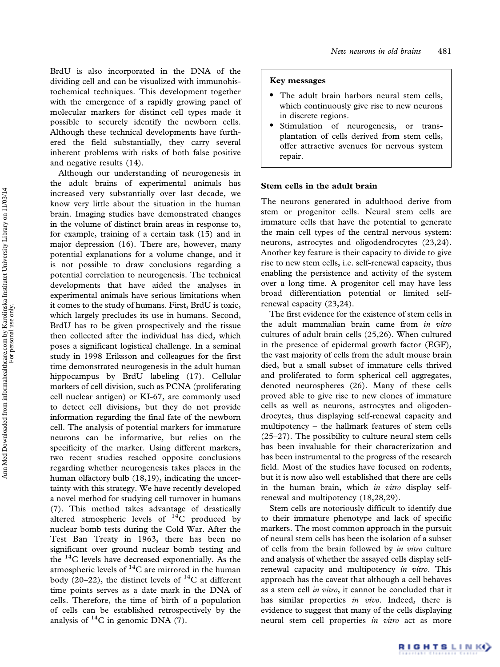BrdU is also incorporated in the DNA of the dividing cell and can be visualized with immunohistochemical techniques. This development together with the emergence of a rapidly growing panel of molecular markers for distinct cell types made it possible to securely identify the newborn cells. Although these technical developments have furthered the field substantially, they carry several inherent problems with risks of both false positive and negative results (14).

Although our understanding of neurogenesis in the adult brains of experimental animals has increased very substantially over last decade, we know very little about the situation in the human brain. Imaging studies have demonstrated changes in the volume of distinct brain areas in response to, for example, training of a certain task (15) and in major depression (16). There are, however, many potential explanations for a volume change, and it is not possible to draw conclusions regarding a potential correlation to neurogenesis. The technical developments that have aided the analyses in experimental animals have serious limitations when it comes to the study of humans. First, BrdU is toxic, which largely precludes its use in humans. Second, BrdU has to be given prospectively and the tissue then collected after the individual has died, which poses a significant logistical challenge. In a seminal study in 1998 Eriksson and colleagues for the first time demonstrated neurogenesis in the adult human hippocampus by BrdU labeling (17). Cellular markers of cell division, such as PCNA (proliferating cell nuclear antigen) or KI-67, are commonly used to detect cell divisions, but they do not provide information regarding the final fate of the newborn cell. The analysis of potential markers for immature neurons can be informative, but relies on the specificity of the marker. Using different markers, two recent studies reached opposite conclusions regarding whether neurogenesis takes places in the human olfactory bulb (18,19), indicating the uncertainty with this strategy. We have recently developed a novel method for studying cell turnover in humans (7). This method takes advantage of drastically altered atmospheric levels of  $^{14}$ C produced by nuclear bomb tests during the Cold War. After the Test Ban Treaty in 1963, there has been no significant over ground nuclear bomb testing and the 14C levels have decreased exponentially. As the atmospheric levels of  $^{14}$ C are mirrored in the human body (20–22), the distinct levels of  $^{14}$ C at different time points serves as a date mark in the DNA of cells. Therefore, the time of birth of a population of cells can be established retrospectively by the analysis of  ${}^{14}C$  in genomic DNA (7).

### Key messages

- The adult brain harbors neural stem cells, which continuously give rise to new neurons in discrete regions.
- Stimulation of neurogenesis, or transplantation of cells derived from stem cells, offer attractive avenues for nervous system repair.

### Stem cells in the adult brain

The neurons generated in adulthood derive from stem or progenitor cells. Neural stem cells are immature cells that have the potential to generate the main cell types of the central nervous system: neurons, astrocytes and oligodendrocytes (23,24). Another key feature is their capacity to divide to give rise to new stem cells, i.e. self-renewal capacity, thus enabling the persistence and activity of the system over a long time. A progenitor cell may have less broad differentiation potential or limited selfrenewal capacity (23,24).

The first evidence for the existence of stem cells in the adult mammalian brain came from in vitro cultures of adult brain cells (25,26). When cultured in the presence of epidermal growth factor (EGF), the vast majority of cells from the adult mouse brain died, but a small subset of immature cells thrived and proliferated to form spherical cell aggregates, denoted neurospheres (26). Many of these cells proved able to give rise to new clones of immature cells as well as neurons, astrocytes and oligodendrocytes, thus displaying self-renewal capacity and multipotency – the hallmark features of stem cells (25–27). The possibility to culture neural stem cells has been invaluable for their characterization and has been instrumental to the progress of the research field. Most of the studies have focused on rodents, but it is now also well established that there are cells in the human brain, which in vitro display selfrenewal and multipotency (18,28,29).

Stem cells are notoriously difficult to identify due to their immature phenotype and lack of specific markers. The most common approach in the pursuit of neural stem cells has been the isolation of a subset of cells from the brain followed by in vitro culture and analysis of whether the assayed cells display selfrenewal capacity and multipotency in vitro. This approach has the caveat that although a cell behaves as a stem cell in vitro, it cannot be concluded that it has similar properties in vivo. Indeed, there is evidence to suggest that many of the cells displaying neural stem cell properties in vitro act as more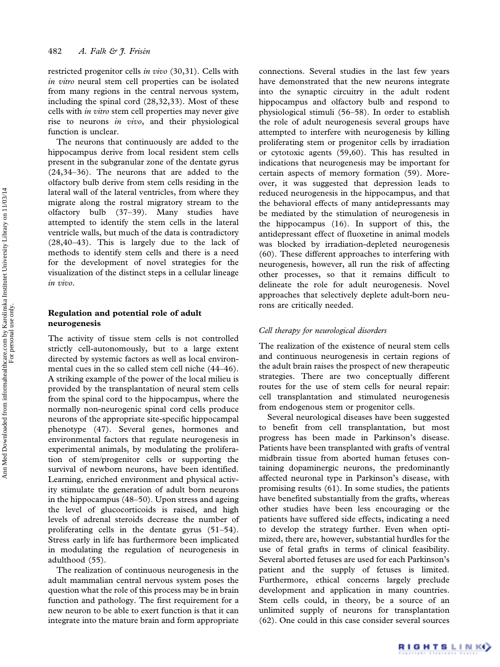restricted progenitor cells in vivo (30,31). Cells with in vitro neural stem cell properties can be isolated from many regions in the central nervous system, including the spinal cord (28,32,33). Most of these cells with *in vitro* stem cell properties may never give rise to neurons *in vivo*, and their physiological function is unclear.

The neurons that continuously are added to the hippocampus derive from local resident stem cells present in the subgranular zone of the dentate gyrus (24,34–36). The neurons that are added to the olfactory bulb derive from stem cells residing in the lateral wall of the lateral ventricles, from where they migrate along the rostral migratory stream to the olfactory bulb (37–39). Many studies have attempted to identify the stem cells in the lateral ventricle walls, but much of the data is contradictory (28,40–43). This is largely due to the lack of methods to identify stem cells and there is a need for the development of novel strategies for the visualization of the distinct steps in a cellular lineage in vivo.

# Regulation and potential role of adult neurogenesis

The activity of tissue stem cells is not controlled strictly cell-autonomously, but to a large extent directed by systemic factors as well as local environmental cues in the so called stem cell niche (44–46). A striking example of the power of the local milieu is provided by the transplantation of neural stem cells from the spinal cord to the hippocampus, where the normally non-neurogenic spinal cord cells produce neurons of the appropriate site-specific hippocampal phenotype (47). Several genes, hormones and environmental factors that regulate neurogenesis in experimental animals, by modulating the proliferation of stem/progenitor cells or supporting the survival of newborn neurons, have been identified. Learning, enriched environment and physical activity stimulate the generation of adult born neurons in the hippocampus (48–50). Upon stress and ageing the level of glucocorticoids is raised, and high levels of adrenal steroids decrease the number of proliferating cells in the dentate gyrus (51–54). Stress early in life has furthermore been implicated in modulating the regulation of neurogenesis in adulthood (55).

The realization of continuous neurogenesis in the adult mammalian central nervous system poses the question what the role of this process may be in brain function and pathology. The first requirement for a new neuron to be able to exert function is that it can integrate into the mature brain and form appropriate

connections. Several studies in the last few years have demonstrated that the new neurons integrate into the synaptic circuitry in the adult rodent hippocampus and olfactory bulb and respond to physiological stimuli (56–58). In order to establish the role of adult neurogenesis several groups have attempted to interfere with neurogenesis by killing proliferating stem or progenitor cells by irradiation or cytotoxic agents (59,60). This has resulted in indications that neurogenesis may be important for certain aspects of memory formation (59). Moreover, it was suggested that depression leads to reduced neurogenesis in the hippocampus, and that the behavioral effects of many antidepressants may be mediated by the stimulation of neurogenesis in the hippocampus (16). In support of this, the antidepressant effect of fluoxetine in animal models was blocked by irradiation-depleted neurogenesis (60). These different approaches to interfering with neurogenesis, however, all run the risk of affecting other processes, so that it remains difficult to delineate the role for adult neurogenesis. Novel approaches that selectively deplete adult-born neurons are critically needed.

## Cell therapy for neurological disorders

The realization of the existence of neural stem cells and continuous neurogenesis in certain regions of the adult brain raises the prospect of new therapeutic strategies. There are two conceptually different routes for the use of stem cells for neural repair: cell transplantation and stimulated neurogenesis from endogenous stem or progenitor cells.

Several neurological diseases have been suggested to benefit from cell transplantation, but most progress has been made in Parkinson's disease. Patients have been transplanted with grafts of ventral midbrain tissue from aborted human fetuses containing dopaminergic neurons, the predominantly affected neuronal type in Parkinson's disease, with promising results (61). In some studies, the patients have benefited substantially from the grafts, whereas other studies have been less encouraging or the patients have suffered side effects, indicating a need to develop the strategy further. Even when optimized, there are, however, substantial hurdles for the use of fetal grafts in terms of clinical feasibility. Several aborted fetuses are used for each Parkinson's patient and the supply of fetuses is limited. Furthermore, ethical concerns largely preclude development and application in many countries. Stem cells could, in theory, be a source of an unlimited supply of neurons for transplantation (62). One could in this case consider several sources

For personal use only.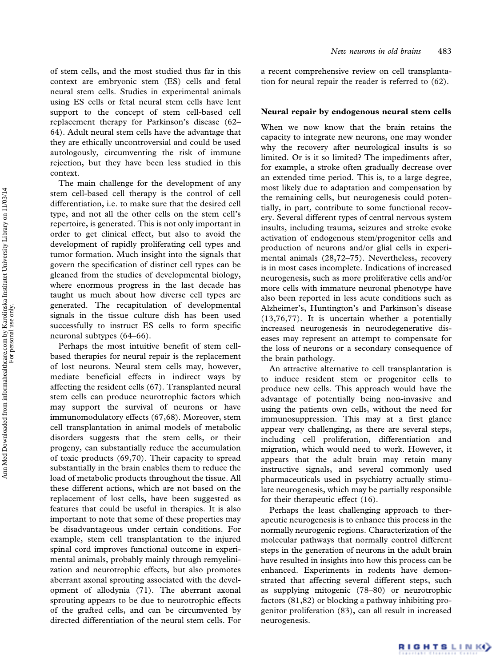of stem cells, and the most studied thus far in this context are embryonic stem (ES) cells and fetal neural stem cells. Studies in experimental animals using ES cells or fetal neural stem cells have lent support to the concept of stem cell-based cell replacement therapy for Parkinson's disease (62– 64). Adult neural stem cells have the advantage that they are ethically uncontroversial and could be used autologously, circumventing the risk of immune rejection, but they have been less studied in this context.

The main challenge for the development of any stem cell-based cell therapy is the control of cell differentiation, i.e. to make sure that the desired cell type, and not all the other cells on the stem cell's repertoire, is generated. This is not only important in order to get clinical effect, but also to avoid the development of rapidly proliferating cell types and tumor formation. Much insight into the signals that govern the specification of distinct cell types can be gleaned from the studies of developmental biology, where enormous progress in the last decade has taught us much about how diverse cell types are generated. The recapitulation of developmental signals in the tissue culture dish has been used successfully to instruct ES cells to form specific neuronal subtypes (64–66).

Perhaps the most intuitive benefit of stem cellbased therapies for neural repair is the replacement of lost neurons. Neural stem cells may, however, mediate beneficial effects in indirect ways by affecting the resident cells (67). Transplanted neural stem cells can produce neurotrophic factors which may support the survival of neurons or have immunomodulatory effects (67,68). Moreover, stem cell transplantation in animal models of metabolic disorders suggests that the stem cells, or their progeny, can substantially reduce the accumulation of toxic products (69,70). Their capacity to spread substantially in the brain enables them to reduce the load of metabolic products throughout the tissue. All these different actions, which are not based on the replacement of lost cells, have been suggested as features that could be useful in therapies. It is also important to note that some of these properties may be disadvantageous under certain conditions. For example, stem cell transplantation to the injured spinal cord improves functional outcome in experimental animals, probably mainly through remyelinization and neurotrophic effects, but also promotes aberrant axonal sprouting associated with the development of allodynia (71). The aberrant axonal sprouting appears to be due to neurotrophic effects of the grafted cells, and can be circumvented by directed differentiation of the neural stem cells. For a recent comprehensive review on cell transplantation for neural repair the reader is referred to (62).

### Neural repair by endogenous neural stem cells

When we now know that the brain retains the capacity to integrate new neurons, one may wonder why the recovery after neurological insults is so limited. Or is it so limited? The impediments after, for example, a stroke often gradually decrease over an extended time period. This is, to a large degree, most likely due to adaptation and compensation by the remaining cells, but neurogenesis could potentially, in part, contribute to some functional recovery. Several different types of central nervous system insults, including trauma, seizures and stroke evoke activation of endogenous stem/progenitor cells and production of neurons and/or glial cells in experimental animals (28,72–75). Nevertheless, recovery is in most cases incomplete. Indications of increased neurogenesis, such as more proliferative cells and/or more cells with immature neuronal phenotype have also been reported in less acute conditions such as Alzheimer's, Huntington's and Parkinson's disease (13,76,77). It is uncertain whether a potentially increased neurogenesis in neurodegenerative diseases may represent an attempt to compensate for the loss of neurons or a secondary consequence of the brain pathology.

An attractive alternative to cell transplantation is to induce resident stem or progenitor cells to produce new cells. This approach would have the advantage of potentially being non-invasive and using the patients own cells, without the need for immunosuppression. This may at a first glance appear very challenging, as there are several steps, including cell proliferation, differentiation and migration, which would need to work. However, it appears that the adult brain may retain many instructive signals, and several commonly used pharmaceuticals used in psychiatry actually stimulate neurogenesis, which may be partially responsible for their therapeutic effect (16).

Perhaps the least challenging approach to therapeutic neurogenesis is to enhance this process in the normally neurogenic regions. Characterization of the molecular pathways that normally control different steps in the generation of neurons in the adult brain have resulted in insights into how this process can be enhanced. Experiments in rodents have demonstrated that affecting several different steps, such as supplying mitogenic (78–80) or neurotrophic factors (81,82) or blocking a pathway inhibiting progenitor proliferation (83), can all result in increased neurogenesis.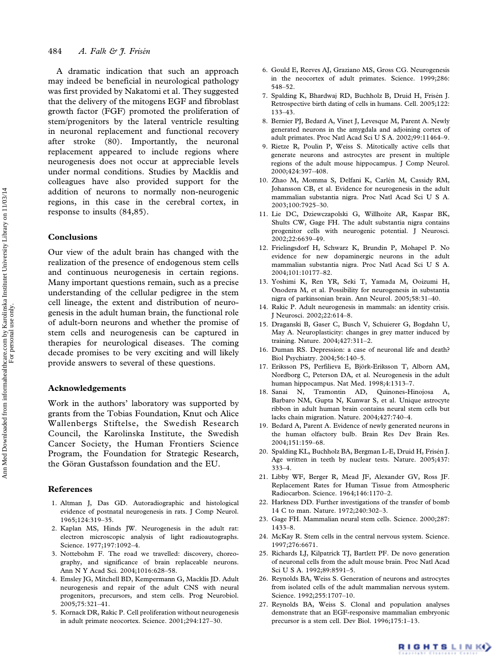A dramatic indication that such an approach may indeed be beneficial in neurological pathology was first provided by Nakatomi et al. They suggested that the delivery of the mitogens EGF and fibroblast growth factor (FGF) promoted the proliferation of stem/progenitors by the lateral ventricle resulting in neuronal replacement and functional recovery after stroke (80). Importantly, the neuronal replacement appeared to include regions where neurogenesis does not occur at appreciable levels under normal conditions. Studies by Macklis and colleagues have also provided support for the addition of neurons to normally non-neurogenic regions, in this case in the cerebral cortex, in response to insults (84,85).

### Conclusions

Our view of the adult brain has changed with the realization of the presence of endogenous stem cells and continuous neurogenesis in certain regions. Many important questions remain, such as a precise understanding of the cellular pedigree in the stem cell lineage, the extent and distribution of neurogenesis in the adult human brain, the functional role of adult-born neurons and whether the promise of stem cells and neurogenesis can be captured in therapies for neurological diseases. The coming decade promises to be very exciting and will likely provide answers to several of these questions.

#### Acknowledgements

Work in the authors' laboratory was supported by grants from the Tobias Foundation, Knut och Alice Wallenbergs Stiftelse, the Swedish Research Council, the Karolinska Institute, the Swedish Cancer Society, the Human Frontiers Science Program, the Foundation for Strategic Research, the Göran Gustafsson foundation and the EU.

#### References

- 1. Altman J, Das GD. Autoradiographic and histological evidence of postnatal neurogenesis in rats. J Comp Neurol. 1965;124:319–35.
- 2. Kaplan MS, Hinds JW. Neurogenesis in the adult rat: electron microscopic analysis of light radioautographs. Science. 1977;197:1092–4.
- 3. Nottebohm F. The road we travelled: discovery, choreography, and significance of brain replaceable neurons. Ann N Y Acad Sci. 2004;1016:628–58.
- 4. Emsley JG, Mitchell BD, Kempermann G, Macklis JD. Adult neurogenesis and repair of the adult CNS with neural progenitors, precursors, and stem cells. Prog Neurobiol. 2005;75:321–41.
- 5. Kornack DR, Rakic P. Cell proliferation without neurogenesis in adult primate neocortex. Science. 2001;294:127–30.
- 6. Gould E, Reeves AJ, Graziano MS, Gross CG. Neurogenesis in the neocortex of adult primates. Science. 1999;286: 548–52.
- 7. Spalding K, Bhardwaj RD, Buchholz B, Druid H, Frisén J. Retrospective birth dating of cells in humans. Cell. 2005;122: 133–43.
- 8. Bernier PJ, Bedard A, Vinet J, Levesque M, Parent A. Newly generated neurons in the amygdala and adjoining cortex of adult primates. Proc Natl Acad Sci U S A. 2002;99:11464–9.
- 9. Rietze R, Poulin P, Weiss S. Mitotically active cells that generate neurons and astrocytes are present in multiple regions of the adult mouse hippocampus. J Comp Neurol. 2000;424:397–408.
- 10. Zhao M, Momma S, Delfani K, Carlén M, Cassidy RM, Johansson CB, et al. Evidence for neurogenesis in the adult mammalian substantia nigra. Proc Natl Acad Sci U S A. 2003;100:7925–30.
- 11. Lie DC, Dziewczapolski G, Willhoite AR, Kaspar BK, Shults CW, Gage FH. The adult substantia nigra contains progenitor cells with neurogenic potential. J Neurosci. 2002;22:6639–49.
- 12. Frielingsdorf H, Schwarz K, Brundin P, Mohapel P. No evidence for new dopaminergic neurons in the adult mammalian substantia nigra. Proc Natl Acad Sci U S A. 2004;101:10177–82.
- 13. Yoshimi K, Ren YR, Seki T, Yamada M, Ooizumi H, Onodera M, et al. Possibility for neurogenesis in substantia nigra of parkinsonian brain. Ann Neurol. 2005;58:31–40.
- 14. Rakic P. Adult neurogenesis in mammals: an identity crisis. J Neurosci. 2002;22:614–8.
- 15. Draganski B, Gaser C, Busch V, Schuierer G, Bogdahn U, May A. Neuroplasticity: changes in grey matter induced by training. Nature. 2004;427:311–2.
- 16. Duman RS. Depression: a case of neuronal life and death? Biol Psychiatry. 2004;56:140–5.
- 17. Eriksson PS, Perfilieva E, Björk-Eriksson T, Alborn AM, Nordborg C, Peterson DA, et al. Neurogenesis in the adult human hippocampus. Nat Med. 1998;4:1313–7.
- 18. Sanai N, Tramontin AD, Quinones-Hinojosa A, Barbaro NM, Gupta N, Kunwar S, et al. Unique astrocyte ribbon in adult human brain contains neural stem cells but lacks chain migration. Nature. 2004;427:740–4.
- 19. Bedard A, Parent A. Evidence of newly generated neurons in the human olfactory bulb. Brain Res Dev Brain Res. 2004;151:159–68.
- 20. Spalding KL, Buchholz BA, Bergman L-E, Druid H, Frisén J. Age written in teeth by nuclear tests. Nature. 2005;437: 333–4.
- 21. Libby WF, Berger R, Mead JF, Alexander GV, Ross JF. Replacement Rates for Human Tissue from Atmospheric Radiocarbon. Science. 1964;146:1170–2.
- 22. Harkness DD. Further investigations of the transfer of bomb 14 C to man. Nature. 1972;240:302–3.
- 23. Gage FH. Mammalian neural stem cells. Science. 2000;287: 1433–8.
- 24. McKay R. Stem cells in the central nervous system. Science. 1997;276:6671.
- 25. Richards LJ, Kilpatrick TJ, Bartlett PF. De novo generation of neuronal cells from the adult mouse brain. Proc Natl Acad Sci U S A. 1992;89:8591–5.
- 26. Reynolds BA, Weiss S. Generation of neurons and astrocytes from isolated cells of the adult mammalian nervous system. Science. 1992;255:1707–10.
- 27. Reynolds BA, Weiss S. Clonal and population analyses demonstrate that an EGF-responsive mammalian embryonic precursor is a stem cell. Dev Biol. 1996;175:1–13.

RIGHTS LINKO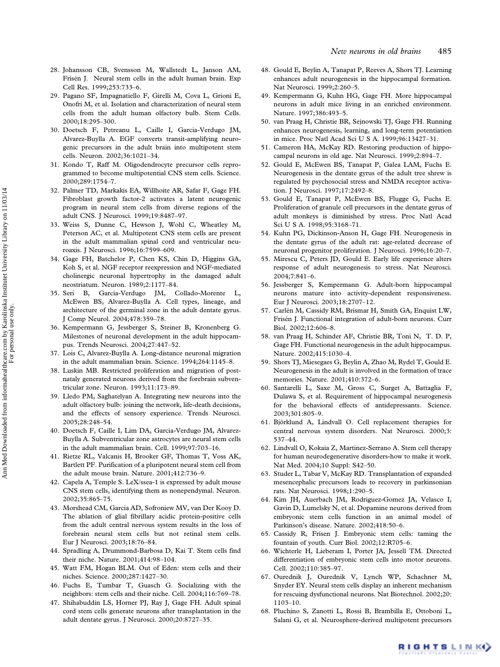- 28. Johansson CB, Svensson M, Wallstedt L, Janson AM, Frisén J. Neural stem cells in the adult human brain. Exp Cell Res. 1999;253:733–6.
- 29. Pagano SF, Impagnatiello F, Girelli M, Cova L, Grioni E, Onofri M, et al. Isolation and characterization of neural stem cells from the adult human olfactory bulb. Stem Cells. 2000;18:295–300.
- 30. Doetsch F, Petreanu L, Caille I, Garcia-Verdugo JM, Alvarez-Buylla A. EGF converts transit-amplifying neurogenic precursors in the adult brain into multipotent stem cells. Neuron. 2002;36:1021–34.
- 31. Kondo T, Raff M. Oligodendrocyte precursor cells reprogrammed to become multipotential CNS stem cells. Science. 2000;289:1754–7.
- 32. Palmer TD, Markakis EA, Willhoite AR, Safar F, Gage FH. Fibroblast growth factor-2 activates a latent neurogenic program in neural stem cells from diverse regions of the adult CNS. J Neurosci. 1999;19:8487–97.
- 33. Weiss S, Dunne C, Hewson J, Wohl C, Wheatley M, Peterson AC, et al. Multipotent CNS stem cells are present in the adult mammalian spinal cord and ventricular neuroaxis. J Neurosci. 1996;16:7599–609.
- 34. Gage FH, Batchelor P, Chen KS, Chin D, Higgins GA, Koh S, et al. NGF receptor reexpression and NGF-mediated cholinergic neuronal hypertrophy in the damaged adult neostriatum. Neuron. 1989;2:1177–84.
- 35. Seri B, Garcia-Verdugo JM, Collado-Morente L, McEwen BS, Alvarez-Buylla A. Cell types, lineage, and architecture of the germinal zone in the adult dentate gyrus. J Comp Neurol. 2004;478:359–78.
- 36. Kempermann G, Jessberger S, Steiner B, Kronenberg G. Milestones of neuronal development in the adult hippocampus. Trends Neurosci. 2004;27:447–52.
- 37. Lois C, Alvarez-Buylla A. Long-distance neuronal migration in the adult mammalian brain. Science. 1994;264:1145–8.
- 38. Luskin MB. Restricted proliferation and migration of postnataly generated neurons derived from the forebrain subventricular zone. Neuron. 1993;11:173–89.
- 39. Lledo PM, Saghatelyan A. Integrating new neurons into the adult olfactory bulb: joining the network, life-death decisions, and the effects of sensory experience. Trends Neurosci. 2005;28:248–54.
- 40. Doetsch F, Caille I, Lim DA, Garcia-Verdugo JM, Alvarez-Buylla A. Subventricular zone astrocytes are neural stem cells in the adult mammalian brain. Cell. 1999;97:703–16.
- 41. Rietze RL, Valcanis H, Brooker GF, Thomas T, Voss AK, Bartlett PF. Purification of a pluripotent neural stem cell from the adult mouse brain. Nature. 2001;412:736–9.
- 42. Capela A, Temple S. LeX/ssea-1 is expressed by adult mouse CNS stem cells, identifying them as nonependymal. Neuron. 2002;35:865–75.
- 43. Morshead CM, Garcia AD, Sofroniew MV, van Der Kooy D. The ablation of glial fibrillary acidic protein-positive cells from the adult central nervous system results in the loss of forebrain neural stem cells but not retinal stem cells. Eur J Neurosci. 2003;18:76–84.
- 44. Spradling A, Drummond-Barbosa D, Kai T. Stem cells find their niche. Nature. 2001;414:98–104.
- 45. Watt FM, Hogan BLM. Out of Eden: stem cells and their niches. Science. 2000;287:1427–30.
- 46. Fuchs E, Tumbar T, Guasch G. Socializing with the neighbors: stem cells and their niche. Cell. 2004;116:769–78.
- 47. Shihabuddin LS, Horner PJ, Ray J, Gage FH. Adult spinal cord stem cells generate neurons after transplantation in the adult dentate gyrus. J Neurosci. 2000;20:8727–35.
- 48. Gould E, Beylin A, Tanapat P, Reeves A, Shors TJ. Learning enhances adult neurogenesis in the hippocampal formation. Nat Neurosci. 1999;2:260–5.
- 49. Kempermann G, Kuhn HG, Gage FH. More hippocampal neurons in adult mice living in an enriched environment. Nature. 1997;386:493–5.
- 50. van Praag H, Christie BR, Sejnowski TJ, Gage FH. Running enhances neurogenesis, learning, and long-term potentiation in mice. Proc Natl Acad Sci U S A. 1999;96:13427–31.
- 51. Cameron HA, McKay RD. Restoring production of hippocampal neurons in old age. Nat Neurosci. 1999;2:894–7.
- 52. Gould E, McEwen BS, Tanapat P, Galea LAM, Fuchs E. Neurogenesis in the dentate gyrus of the adult tree shrew is regulated by psychosocial stress and NMDA receptor activation. J Neurosci. 1997;17:2492–8.
- 53. Gould E, Tanapat P, McEwen BS, Flugge G, Fuchs E. Proliferation of granule cell precursors in the dentate gyrus of adult monkeys is diminished by stress. Proc Natl Acad Sci U S A. 1998;95:3168–71.
- 54. Kuhn PG, Dickinson-Anson H, Gage FH. Neurogenesis in the dentate gyrus of the adult rat: age-related decrease of neuronal progenitor proliferation. J Neurosci. 1996;16:20–7.
- 55. Mirescu C, Peters JD, Gould E. Early life experience alters response of adult neurogenesis to stress. Nat Neurosci. 2004;7:841–6.
- 56. Jessberger S, Kempermann G. Adult-born hippocampal neurons mature into activity-dependent responsiveness. Eur J Neurosci. 2003;18:2707–12.
- 57. Carlén M, Cassidy RM, Brismar H, Smith GA, Enquist LW, Frisén J. Functional integration of adult-born neurons. Curr Biol. 2002;12:606–8.
- 58. van Praag H, Schinder AF, Christie BR, Toni N, T. D. P, Gage FH. Functional neurogenesis in the adult hippocampus. Nature. 2002;415:1030–4.
- 59. Shors TJ, Miesegaes G, Beylin A, Zhao M, Rydel T, Gould E. Neurogenesis in the adult is involved in the formation of trace memories. Nature. 2001;410:372–6.
- 60. Santarelli L, Saxe M, Gross C, Surget A, Battaglia F, Dulawa S, et al. Requirement of hippocampal neurogenesis for the behavioral effects of antidepressants. Science. 2003;301:805–9.
- 61. Björklund A, Lindvall O. Cell replacement therapies for central nervous system disorders. Nat Neurosci. 2000;3: 537–44.
- 62. Lindvall O, Kokaia Z, Martinez-Serrano A. Stem cell therapy for human neurodegenerative disorders-how to make it work. Nat Med. 2004;10 Suppl: S42–50.
- 63. Studer L, Tabar V, McKay RD. Transplantation of expanded mesencephalic precursors leads to recovery in parkinsonian rats. Nat Neurosci. 1998;1:290–5.
- 64. Kim JH, Auerbach JM, Rodriguez-Gomez JA, Velasco I, Gavin D, Lumelsky N, et al. Dopamine neurons derived from embryonic stem cells function in an animal model of Parkinson's disease. Nature. 2002;418:50–6.
- 65. Cassidy R, Frisen J. Embryonic stem cells: taming the fountain of youth. Curr Biol. 2002;12:R705–6.
- 66. Wichterle H, Lieberam I, Porter JA, Jessell TM. Directed differentiation of embryonic stem cells into motor neurons. Cell. 2002;110:385–97.
- 67. Ourednik J, Ourednik V, Lynch WP, Schachner M, Snyder EY. Neural stem cells display an inherent mechanism for rescuing dysfunctional neurons. Nat Biotechnol. 2002;20: 1103–10.
- 68. Pluchino S, Zanotti L, Rossi B, Brambilla E, Ottoboni L, Salani G, et al. Neurosphere-derived multipotent precursors